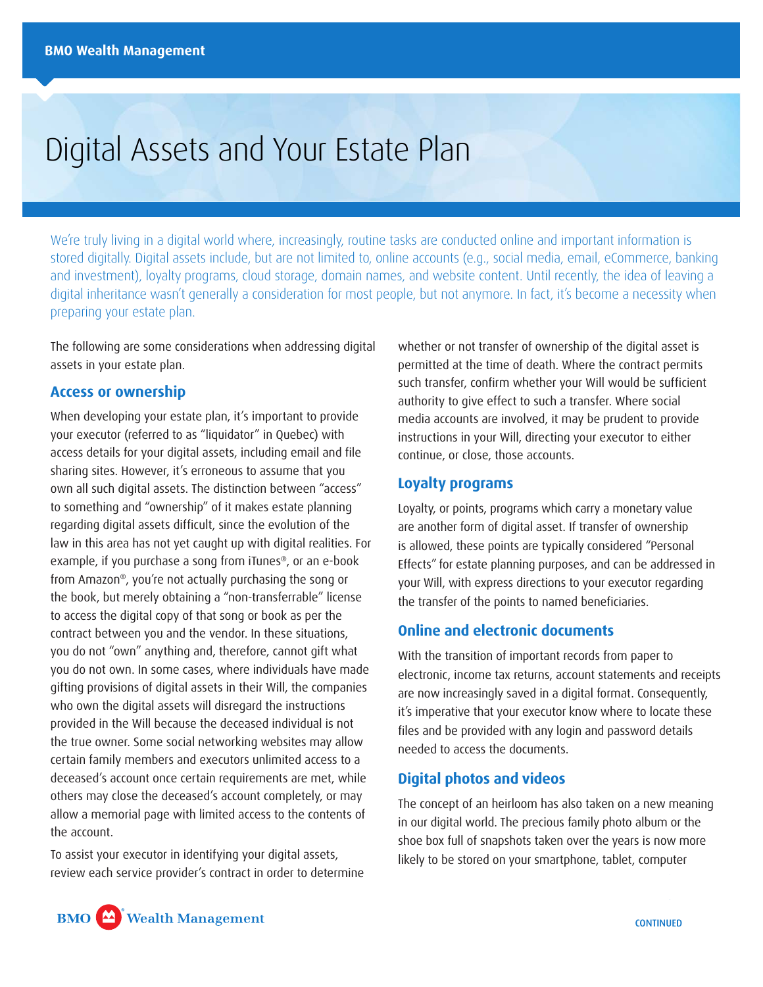# Digital Assets and Your Estate Plan

We're truly living in a digital world where, increasingly, routine tasks are conducted online and important information is stored digitally. Digital assets include, but are not limited to, online accounts (e.g., social media, email, eCommerce, banking and investment), loyalty programs, cloud storage, domain names, and website content. Until recently, the idea of leaving a digital inheritance wasn't generally a consideration for most people, but not anymore. In fact, it's become a necessity when preparing your estate plan.

The following are some considerations when addressing digital assets in your estate plan.

#### **Access or ownership**

When developing your estate plan, it's important to provide your executor (referred to as "liquidator" in Quebec) with access details for your digital assets, including email and file sharing sites. However, it's erroneous to assume that you own all such digital assets. The distinction between "access" to something and "ownership" of it makes estate planning regarding digital assets difficult, since the evolution of the law in this area has not yet caught up with digital realities. For example, if you purchase a song from iTunes®, or an e-book from Amazon®, you're not actually purchasing the song or the book, but merely obtaining a "non-transferrable" license to access the digital copy of that song or book as per the contract between you and the vendor. In these situations, you do not "own" anything and, therefore, cannot gift what you do not own. In some cases, where individuals have made gifting provisions of digital assets in their Will, the companies who own the digital assets will disregard the instructions provided in the Will because the deceased individual is not the true owner. Some social networking websites may allow certain family members and executors unlimited access to a deceased's account once certain requirements are met, while others may close the deceased's account completely, or may allow a memorial page with limited access to the contents of the account.

To assist your executor in identifying your digital assets, review each service provider's contract in order to determine

whether or not transfer of ownership of the digital asset is permitted at the time of death. Where the contract permits such transfer, confirm whether your Will would be sufficient authority to give effect to such a transfer. Where social media accounts are involved, it may be prudent to provide instructions in your Will, directing your executor to either continue, or close, those accounts.

#### **Loyalty programs**

Loyalty, or points, programs which carry a monetary value are another form of digital asset. If transfer of ownership is allowed, these points are typically considered "Personal Effects" for estate planning purposes, and can be addressed in your Will, with express directions to your executor regarding the transfer of the points to named beneficiaries.

## **Online and electronic documents**

With the transition of important records from paper to electronic, income tax returns, account statements and receipts are now increasingly saved in a digital format. Consequently, it's imperative that your executor know where to locate these files and be provided with any login and password details needed to access the documents.

### **Digital photos and videos**

The concept of an heirloom has also taken on a new meaning in our digital world. The precious family photo album or the shoe box full of snapshots taken over the years is now more likely to be stored on your smartphone, tablet, computer